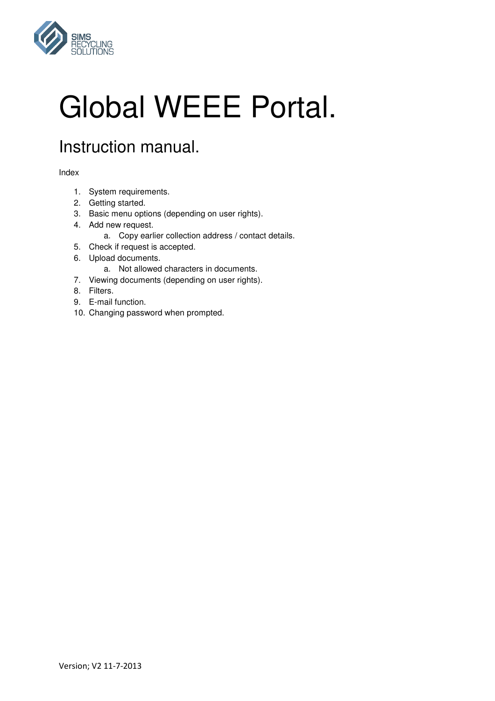

# Global WEEE Portal.

# Instruction manual.

Index

- 1. System requirements.
- 2. Getting started.
- 3. Basic menu options (depending on user rights).
- 4. Add new request.
	- a. Copy earlier collection address / contact details.
- 5. Check if request is accepted.
- 6. Upload documents.
	- a. Not allowed characters in documents.
- 7. Viewing documents (depending on user rights).
- 8. Filters.
- 9. E-mail function.
- 10. Changing password when prompted.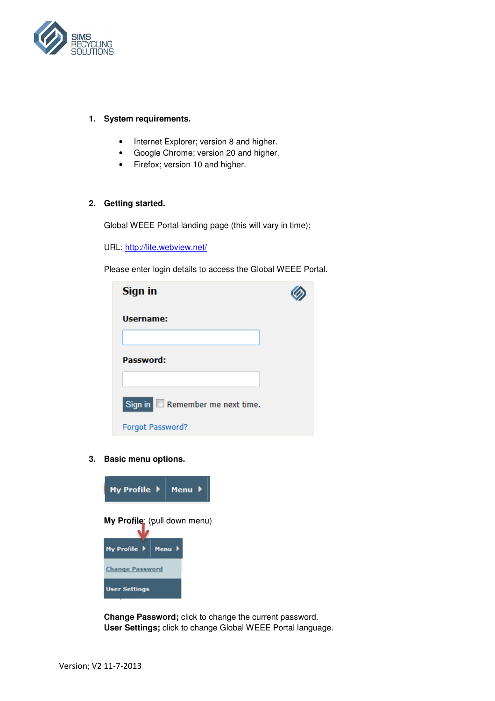

# **1. System requirements.**

- Internet Explorer; version 8 and higher.
- Google Chrome; version 20 and higher.
- Firefox; version 10 and higher.

# **2. Getting started.**

Global WEEE Portal landing page (this will vary in time);

URL; http://lite.webview.net/

Please enter login details to access the Global WEEE Portal.

| Sign in                                                   |  |
|-----------------------------------------------------------|--|
| Username:                                                 |  |
| Password:                                                 |  |
|                                                           |  |
| Sign in $\Box$ Remember me next time.<br>Forgot Password? |  |

**3. Basic menu options.** 



**Change Password;** click to change the current password. **User Settings;** click to change Global WEEE Portal language.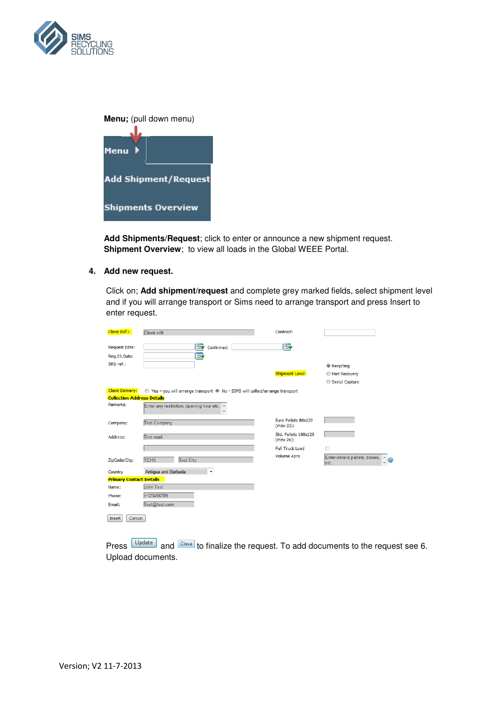

| Menu; (pull down menu)      |
|-----------------------------|
| Menu                        |
| <b>Add Shipment/Request</b> |
| <b>Shipments Overview</b>   |

**Add Shipments/Request**; click to enter or announce a new shipment request. **Shipment Overview**; to view all loads in the Global WEEE Portal.

**4. Add new request.** 

Click on; **Add shipment/request** and complete grey marked fields, select shipment level and if you will arrange transport or Sims need to arrange transport and press Insert to enter request.

| Client Ref.:                         | Client ref#                                                                   | Contract:                               |                                                       |
|--------------------------------------|-------------------------------------------------------------------------------|-----------------------------------------|-------------------------------------------------------|
| <b>Request Date:</b><br>Req.Sh.Date: | $\blacksquare$<br>Confirmed:<br><b>IN</b>                                     | <b>IR</b>                               |                                                       |
| SRS ref.:                            |                                                                               |                                         | <b>O</b> Recycling                                    |
|                                      |                                                                               | <b>Shipment Level:</b>                  | Rart Recovery                                         |
|                                      |                                                                               |                                         | Serial Capture                                        |
| <b>Client Delivery:</b>              | ◎ Yes - you will arrange transport ● No - SIMS will collect/arrange transport |                                         |                                                       |
| <b>Collection Address Details</b>    |                                                                               |                                         |                                                       |
| Remarks:                             | Enter any restriction, opening hour etc. A                                    |                                         |                                                       |
| Company:                             | <b>Test Company</b>                                                           | <b>Euro Pallets 80x120</b><br>(max 33): |                                                       |
| Address:                             | Test road                                                                     | Std. Pallets 100x120<br>(max 26):       |                                                       |
|                                      |                                                                               | <b>Full Truck Load</b>                  |                                                       |
| ZipCode/City:                        | 12345<br><b>Test City</b>                                                     | Volume Aprx.                            | Enter details pallets, boxes, A<br>$\bigcirc$<br>etc. |
| Country                              | Antigua and Barbuda<br>۰                                                      |                                         |                                                       |
| <b>Primary Contact Details</b>       |                                                                               |                                         |                                                       |
| Name:                                | John Test                                                                     |                                         |                                                       |
| Phone:                               | +123456789                                                                    |                                         |                                                       |
| Email:                               | Test@test.com                                                                 |                                         |                                                       |
| Cancel<br>Insert                     |                                                                               |                                         |                                                       |

Press **Update** and Close to finalize the request. To add documents to the request see 6. Upload documents.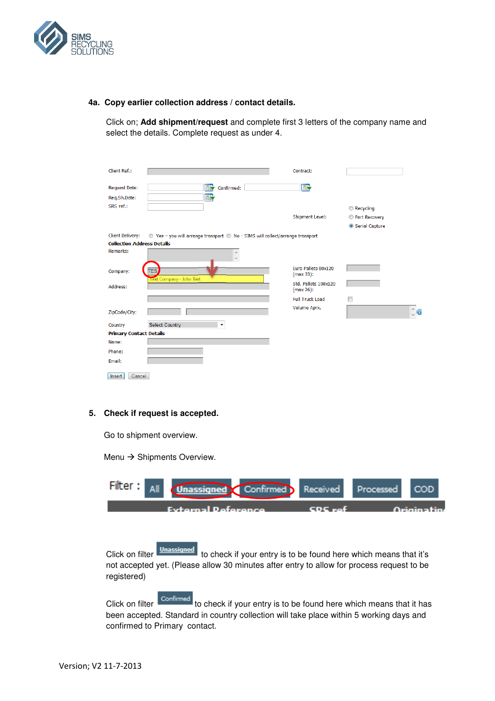

## **4a. Copy earlier collection address / contact details.**

Click on; **Add shipment/request** and complete first 3 letters of the company name and select the details. Complete request as under 4.

| Client Ref.:                      |                                                                               | Contract:                         |                       |
|-----------------------------------|-------------------------------------------------------------------------------|-----------------------------------|-----------------------|
| <b>Request Date:</b>              | $\mathbb{F}$<br>Confirmed:                                                    | <b>IIV</b>                        |                       |
| Req.Sh.Date:                      | $\mathbb{R}$                                                                  |                                   |                       |
| SRS ref.:                         |                                                                               |                                   | Recycling             |
|                                   |                                                                               | <b>Shipment Level:</b>            | Rart Recovery         |
|                                   |                                                                               |                                   | Serial Capture        |
| Client Delivery:                  | ◎ Yes - you will arrange transport ◎ No - SIMS will collect/arrange transport |                                   |                       |
| <b>Collection Address Details</b> |                                                                               |                                   |                       |
| Remarks:                          | ۸                                                                             |                                   |                       |
| Company:                          | <b>TES</b><br>Test Company - John Test                                        | Euro Pallets 80x120<br>(max 33):  |                       |
| Address:                          |                                                                               | Std. Pallets 100x120<br>(max 26): |                       |
|                                   |                                                                               | <b>Full Truck Load</b>            | F                     |
| ZipCode/City:                     |                                                                               | Volume Aprx.                      | $\hat{\phantom{a}}$ 0 |
| Country                           | <b>Select Country</b>                                                         |                                   |                       |
| <b>Primary Contact Details</b>    |                                                                               |                                   |                       |
| Name:                             |                                                                               |                                   |                       |
| Phone:                            |                                                                               |                                   |                       |
| Email:                            |                                                                               |                                   |                       |
| Cancel<br>Insert                  |                                                                               |                                   |                       |

# **5. Check if request is accepted.**

Go to shipment overview.

Menu  $\rightarrow$  Shipments Overview.

| <b>Hiter:</b> M    | <b>All</b> | signed Confirmed Received Processed |                           |               |
|--------------------|------------|-------------------------------------|---------------------------|---------------|
| Evtornal Deference |            |                                     | <b>CDC</b> and <b>CDC</b> | – Orininatina |

Click on filter **Unassigned** to check if your entry is to be found here which means that it's not accepted yet. (Please allow 30 minutes after entry to allow for process request to be registered)

Click on filter confirmed to check if your entry is to be found here which means that it has been accepted. Standard in country collection will take place within 5 working days and confirmed to Primary contact.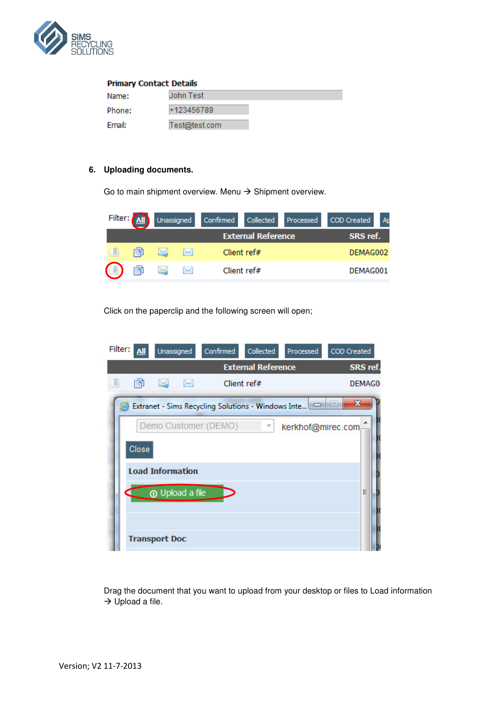

#### **Primary Contact Details** John Test Name: +123456789 Phone: Email: Test@test.com

# **6. Uploading documents.**

Go to main shipment overview. Menu  $\rightarrow$  Shipment overview.

|                | Filter: <b>All</b> |              |   |                           | Unassigned Confirmed Collected Processed COD Created | Ap |
|----------------|--------------------|--------------|---|---------------------------|------------------------------------------------------|----|
|                |                    |              |   | <b>External Reference</b> | SRS ref.                                             |    |
|                |                    | ×            | ↣ | Client ref#               | DEMAG002                                             |    |
| $\blacksquare$ |                    | $\mathbb{M}$ | ⊠ | Client ref#               | DEMAG001                                             |    |

Click on the paperclip and the following screen will open;

| Filter: |                                       | Unassigned              |   | Confirmed            | Collected               | Processed                                          | <b>COD Created</b> |  |  |
|---------|---------------------------------------|-------------------------|---|----------------------|-------------------------|----------------------------------------------------|--------------------|--|--|
|         | <b>External Reference</b><br>SRS ref. |                         |   |                      |                         |                                                    |                    |  |  |
|         |                                       | $\bowtie$               | ⊠ |                      | Client ref#             |                                                    | DEMAG0             |  |  |
|         |                                       |                         |   |                      |                         | Extranet - Sims Recycling Solutions - Windows Inte | x                  |  |  |
|         |                                       |                         |   | Demo Customer (DEMO) | $\overline{\mathbf{v}}$ | kerkhof@mirec.com                                  |                    |  |  |
|         | Close                                 |                         |   |                      |                         |                                                    |                    |  |  |
|         |                                       | <b>Load Information</b> |   |                      |                         |                                                    |                    |  |  |
|         |                                       | <b>O</b> Upload a file  |   |                      |                         |                                                    | Ξ                  |  |  |
|         |                                       |                         |   |                      |                         |                                                    |                    |  |  |
|         |                                       | <b>Transport Doc</b>    |   |                      |                         |                                                    |                    |  |  |
|         |                                       |                         |   |                      |                         |                                                    |                    |  |  |

Drag the document that you want to upload from your desktop or files to Load information  $\rightarrow$  Upload a file.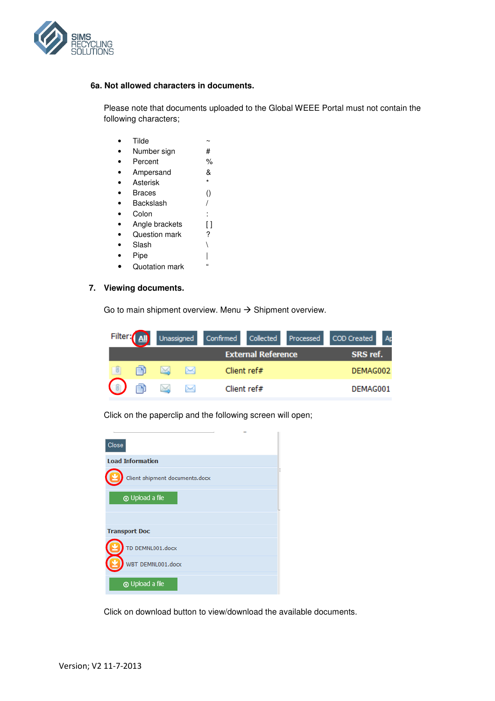

# **6a. Not allowed characters in documents.**

Please note that documents uploaded to the Global WEEE Portal must not contain the following characters;

- $\bullet$  Tilde  $\sim$
- Number sign #
- Percent %
- Ampersand &
- Asterisk \*
- Braces ()
- Backslash /
- Colon :
- Angle brackets [ ]
- Question mark ?
- Slash \
- $\bullet$  Pipe |
- Quotation mark "

# **7. Viewing documents.**

Go to main shipment overview. Menu  $\rightarrow$  Shipment overview.

| Filter: <b>All</b> |          |             |  | Unassigned Confirmed Collected Processed COD Created |  |
|--------------------|----------|-------------|--|------------------------------------------------------|--|
|                    | SRS ref. |             |  |                                                      |  |
|                    | ⊶        | Client ref# |  | DEMAG002                                             |  |
|                    | ⊶        | Client ref# |  | DEMAG001                                             |  |

Click on the paperclip and the following screen will open;

| Close                          |  |
|--------------------------------|--|
| <b>Load Information</b>        |  |
| Client shipment documents.docx |  |
| <b>T</b> Upload a file         |  |
|                                |  |
| <b>Transport Doc</b>           |  |
| TD DEMNL001.docx               |  |
| WBT DEMNL001.docx              |  |
| <b>T</b> Upload a file         |  |

Click on download button to view/download the available documents.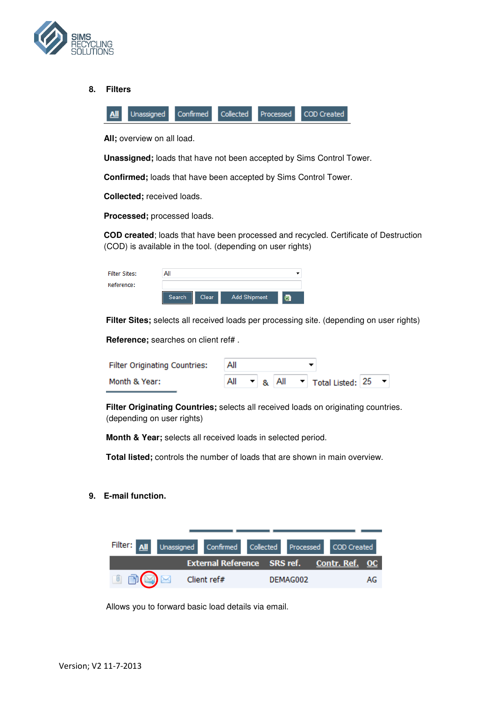

**8. Filters** 

|  |  | All Unassigned Confirmed Collected Processed COD Created |
|--|--|----------------------------------------------------------|

**All;** overview on all load.

**Unassigned;** loads that have not been accepted by Sims Control Tower.

**Confirmed;** loads that have been accepted by Sims Control Tower.

**Collected;** received loads.

**Processed;** processed loads.

**COD created**; loads that have been processed and recycled. Certificate of Destruction (COD) is available in the tool. (depending on user rights)

| Filter Sites: |        |       |                     |   |
|---------------|--------|-------|---------------------|---|
| Reference:    |        |       |                     |   |
|               | Search | Clear | <b>Add Shipment</b> | 冒 |

**Filter Sites;** selects all received loads per processing site. (depending on user rights)

**Reference;** searches on client ref# .

| <b>Filter Originating Countries:</b> | All |  |  |  |  |                                                                                           |  |  |
|--------------------------------------|-----|--|--|--|--|-------------------------------------------------------------------------------------------|--|--|
| Month & Year:                        |     |  |  |  |  | $\blacktriangleright$ 8. All $\blacktriangleright$ Total Listed: 25 $\blacktriangleright$ |  |  |

**Filter Originating Countries;** selects all received loads on originating countries. (depending on user rights)

**Month & Year;** selects all received loads in selected period.

**Total listed;** controls the number of loads that are shown in main overview.

**9. E-mail function.** 



Allows you to forward basic load details via email.